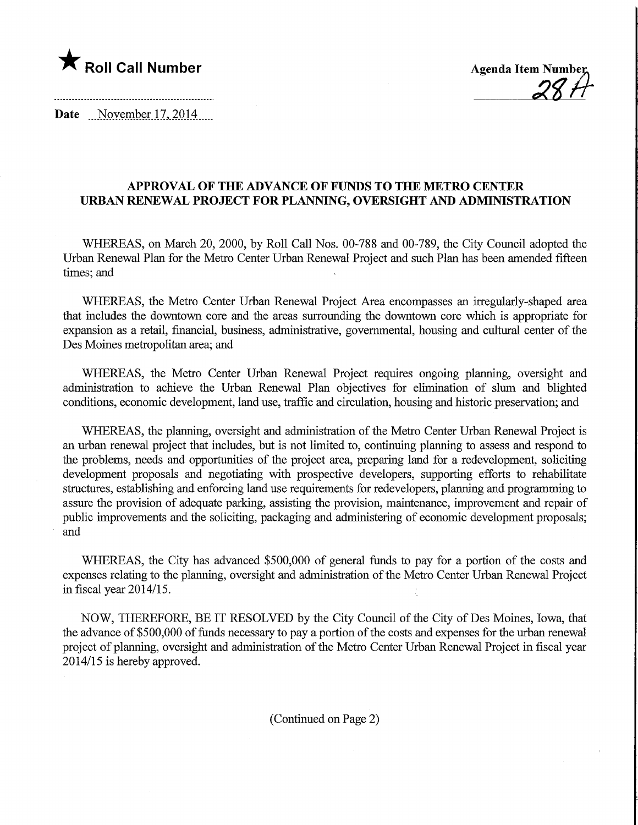## **The Roll Call Number Agents Container Agents Agents Agents Agents Agents Agents Agents Agents Agents Agents Agents Agents Agents Agents Agents Agents Agents Agents Agents Agents Agents Agents Agents Agents Agents Agents A**

Date November 17, 2014

## APPROVAL OF THE ADVANCE OF FUNDS TO THE METRO CENTER URBAN RENEWAL PROJECT FOR PLANNING, OVERSIGHT AND ADMINISTRATION

WHEREAS, on March 20, 2000, by Roll Call Nos. 00-788 and 00-789, the City Council adopted the Urban Renewal Plan for the Metro Center Urban Renewal Project and such Plan has been amended fifteen times; and

WHEREAS, the Metro Center Urban Renewal Project Area encompasses an irregularly-shaped area that includes the downtown core and the areas surrounding the downtown core which is appropriate for expansion as a retail, financial, business, administrative, governmental, housing and cultural center of the Des Moines metropolitan area; and

WHEREAS, the Metro Center Urban Renewal Project requires ongoing planning, oversight and administration to achieve the Urban Renewal Plan objectives for elimination of slum and blighted conditions, economic development, land use, traffic and circulation, housing and historic preservation; and

WHEREAS, the planning, oversight and administration of the Metro Center Urban Renewal Project is an urban renewal project that includes, but is not limited to, contmuing planning to assess and respond to the problems, needs and opportunities of the project area, preparing land for a redevelopment, soliciting development proposals and negotiating with prospective developers, supporting efforts to rehabilitate structures, establishing and enforcing land use requirements for redevelopers, planning and programming to assure the provision of adequate parking, assisting the provision, maintenance, improvement and repair of public improvements and the soliciting, packaging and administering of economic development proposals; and

WHEREAS, the City has advanced \$500,000 of general funds to pay for a portion of the costs and expenses relating to the planning, oversight and administration of the Metro Center Urban Renewal Project in fiscal year 2014/15.

NOW, THEREFORE, BE IT RESOLVED by the City Council of the City of Des Moines, Iowa, that the advance of \$500,000 of funds necessary to pay a portion of the costs and expenses for the urban renewal project of planning, oversight and administration of the Metro Center Urban Renewal Project in fiscal year 2014/15 is hereby approved.

(Continued on Page 2)